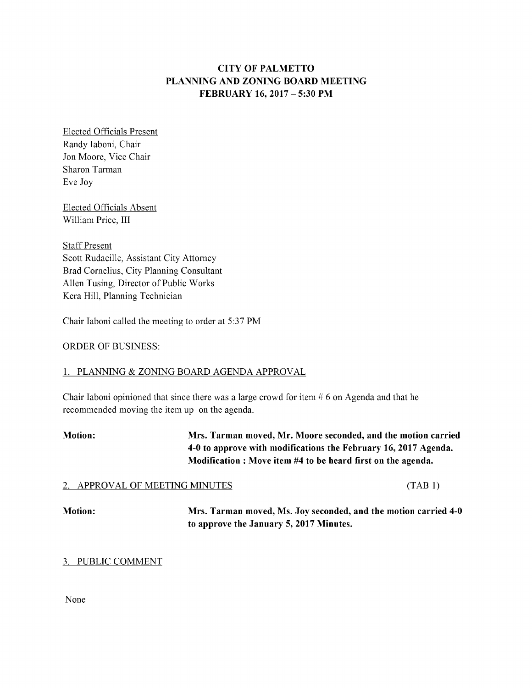# CITYOFPALMETTO PLANNING AND ZONING BOARD MEETING FEBRUARY16, 2017 – 5:30PM

Elected Officials Present Randy Iaboni, Chair Jon Moore, Vice Chair Sharon Tarman Eve Joy

Elected Officials Absent William Price, III

**Staff Present** Scott Rudacille, Assistant City Attorney Brad Cornelius, City Planning Consultant Allen Tusing, Director of Public Works Kera Hill, Planning Technician

Chair Iaboni called the meeting to order at 5:37 PM

ORDER OF BUSINESS:

# 1. PLANNING & ZONING BOARD AGENDA APPROVAL

Chair Iaboni opinioned that since there was a large crowd for item  $# 6$  on Agenda and that he recommended moving the item up on the agenda.

Motion: Mrs. Tarman moved, Mr. Moore seconded, and the motion carried 4-0 to approve with modifications the February 16, 2017 Agenda. Modification : Move item #4 to be heard first on the agenda.

# 2. APPROVAL OF MEETING MINUTES (TAB 1)

Motion: Mrs. Tarman moved, Ms. Joy seconded, and the motion carried 4-0 to approve the January 5, 2017 Minutes.

# 3. PUBLIC COMMENT

None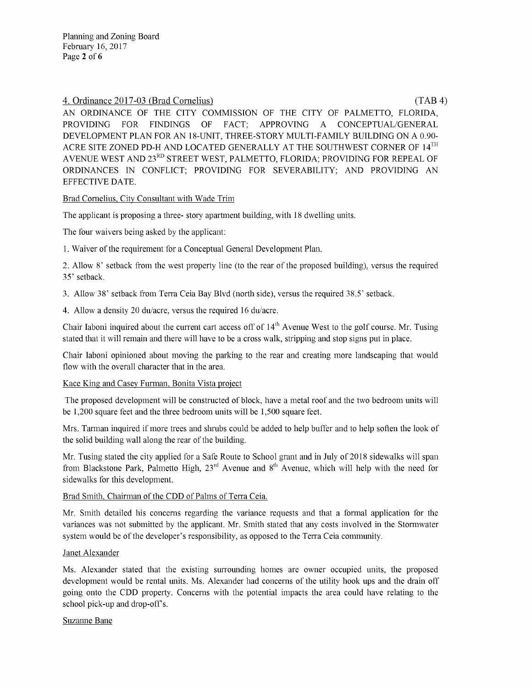## 4. Ordinance 2017-03 (Brad Cornelius) ( TAB 4)

AN ORDINANCE OF THE CITY COMMISSION OF THE CITY OF PALMETTO, FLORIDA, PROVIDING FOR FINDINGS OF FACT; APPROVING A CONCEPTUAL/GENERAL DEVELOPMENT PLAN FOR AN 18-UNIT, THREE-STORY MULTI-FAMILY BUILDING ON A 0.90-ACRE SITE ZONED PD-H AND LOCATED GENERALLY AT THE SOUTHWEST CORNER OF  $14^{TH}$ AVENUE WEST AND 23RD STREET WEST, PALMETTO, FLORIDA; PROVIDING FOR REPEAL OF ORDINANCES IN CONFLICT; PROVIDING FOR SEVERABILITY; AND PROVIDING AN EFFECTIVE DATE.

# Brad Cornelius, City Consultant with Wade Trim

The applicant is proposing a three- story apartment building, with 18 dwelling units.

The four waivers being asked by the applicant:

1. Waiver of the requirement for a Conceptual General Development Plan.

2. Allow 8' setback from the west property line (to the rear of the proposed building), versus the required 35' setback.

3. Allow 38' setback from Terra Ceia Bay Blvd (north side), versus the required 38.5' setback.

4. Allow a density 20 du/acre, versus the required 16 du/acre.

Chair Iaboni inquired about the current cart access off of  $14<sup>th</sup>$  Avenue West to the golf course. Mr. Tusing stated that it will remain and there will have to be a cross walk, stripping and stop signs put in place.

Chair Iaboni opinioned about moving the parking to the rear and creating more landscaping that would flow with the overall character that in the area.

#### Kace King and Casey Furman, Bonita Vista project

The proposed development will be constructed of block, have a metal roof and the two bedroom units will be 1,200 square feet and the three bedroom units will be 1,500 square feet.

Mrs. Tarman inquired if more trees and shrubs could be added to help buffer and to help soften the look of the solid building wall along the rear of the building.

Mr. Tusing stated the city applied for a Safe Route to School grant and in July of 2018 sidewalks will span from Blackstone Park, Palmetto High,  $23<sup>rd</sup>$  Avenue and  $8<sup>th</sup>$  Avenue, which will help with the need for sidewalks for this development.

#### Brad Smith, Chairman of the CDD of Palms of Terra Ceia.

Mr. Smith detailed his concerns regarding the variance requests and that a formal application for the variances was not submitted by the applicant. Mr. Smith stated that any costs involved in the Stormwater system would be of the developer's responsibility, as opposed to the Terra Ceia community.

#### Janet Alexander

Ms. Alexander stated that the existing surrounding homes are owner occupied units, the proposed development would be rental units. Ms. Alexander had concerns of the utility hook ups and the drain off going onto the CDD property. Concerns with the potential impacts the area could have relating to the school pick-up and drop-off's.

#### Suzanne Bane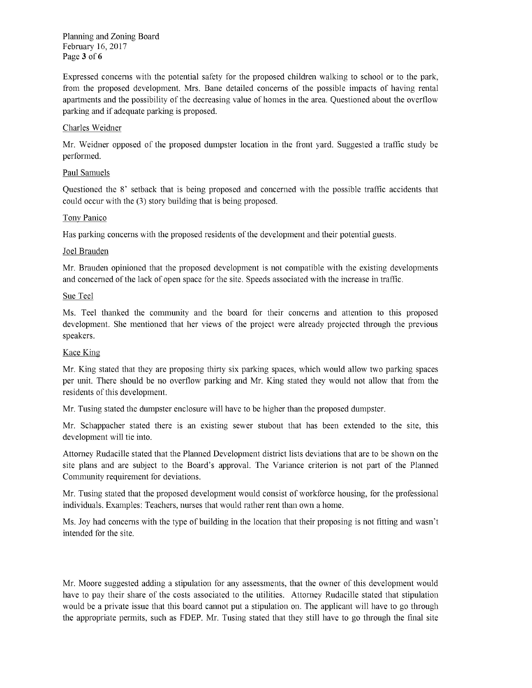Planning and Zoning Board February16, 2017 Page 3 of 6

Expressed concerns with the potential safety for the proposed children walking to school or to the park, from the proposed development. Mrs. Bane detailed concerns of the possible impacts of having rental apartments and the possibility of the decreasing value of homes in the area. Questioned about the overflow parking and if adequate parking is proposed.

### Charles Weidner

Mr. Weidner opposed of the proposed dumpster location in the front yard. Suggested a traffic study be performed.

### Paul Samuels

Questioned the 8' setback that is being proposed and concerned with the possible traffic accidents that could occur with the (3) story building that is being proposed.

### Tony Panico

Has parking concerns with the proposed residents of the development and their potential guests.

### Joel Brauden

Mr. Brauden opinioned that the proposed development is not compatible with the existing developments and concerned of the lack of open space for the site. Speeds associated with the increase in traffic.

### Sue Teel

Ms. Teel thanked the community and the board for their concerns and attention to this proposed development. She mentioned that her views of the project were already projected through the previous speakers.

#### Kace King

Mr. King stated that they are proposing thirty six parking spaces, which would allow two parking spaces per unit. There should be no overflow parking and Mr. King stated they would not allow that from the residents of this development.

Mr. Tusing stated the dumpster enclosure will have to be higher than the proposed dumpster.

Mr. Schappacher stated there is an existing sewer stubout that has been extended to the site, this development will tie into.

Attorney Rudacille stated that the Planned Development district lists deviations that are to be shown on the site plans and are subject to the Board's approval. The Variance criterion is not part of the Planned Community requirement for deviations.

Mr. Tusing stated that the proposed development would consist of workforce housing, for the professional individuals. Examples: Teachers, nurses that would rather rent than own a home.

Ms. Joy had concerns with the type of building in the location that their proposing is not fitting and wasn't intended for the site.

Mr. Moore suggested adding a stipulation for any assessments, that the owner of this development would have to pay their share of the costs associated to the utilities. Attorney Rudacille stated that stipulation would be a private issue that this board cannot put a stipulation on. The applicant will have to go through the appropriate permits, such as FDEP. Mr. Tusing stated that they still have to go through the final site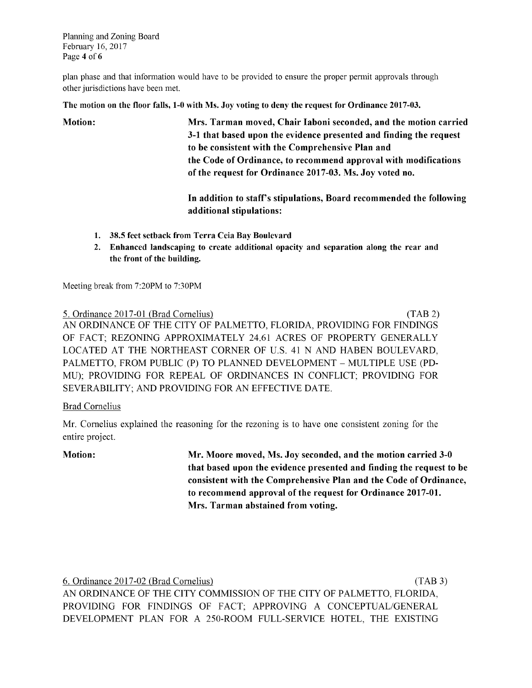Planning and Zoning Board February16, 2017 Page 4 of 6

plan phase and that information would have to be provided to ensure the proper permit approvals through other jurisdictions have been met.

The motion on the floor falls, 1-0 with Ms. Joy voting to deny the request for Ordinance 2017-03.

Motion: Mrs. Tarmanmoved, ChairIaboniseconded, andthemotioncarried 3-1 that based upon the evidence presented and finding the request to be consistent with the Comprehensive Plan and the Code of Ordinance, to recommend approval with modifications of the request for Ordinance 2017-03. Ms. Joy voted no.

> In addition to staff's stipulations, Board recommended the following additional stipulations:

- 1. 38.5 feet setback from Terra Ceia Bay Boulevard
- 2. Enhanced landscaping to create additional opacity and separation along the rear and the front of the building.

Meeting break from 7:20PM to 7:30PM

5. Ordinance 2017-01 (Brad Cornelius) ( TAB 2) AN ORDINANCE OF THE CITY OF PALMETTO, FLORIDA, PROVIDING FOR FINDINGS OF FACT; REZONING APPROXIMATELY 24.61 ACRES OF PROPERTY GENERALLY LOCATED AT THE NORTHEAST CORNER OF U.S. 41 N AND HABEN BOULEVARD, PALMETTO, FROM PUBLIC (P) TO PLANNED DEVELOPMENT – MULTIPLE USE (PD-MU); PROVIDING FOR REPEAL OF ORDINANCES IN CONFLICT; PROVIDING FOR SEVERABILITY; AND PROVIDING FOR AN EFFECTIVE DATE.

# **Brad Cornelius**

Mr. Cornelius explained the reasoning for the rezoning is to have one consistent zoning for the entire project.

Motion: Mr. Moore moved, Ms. Joy seconded, and the motion carried 3-0 that based upon the evidence presented and finding the request to be consistent with the Comprehensive Plan and the Code of Ordinance, to recommend approval of the request for Ordinance 2017-01. Mrs. Tarman abstained from voting.

6. Ordinance2017-02 (BradCornelius) ( TAB3)

AN ORDINANCE OF THE CITY COMMISSION OF THE CITY OF PALMETTO, FLORIDA, PROVIDING FOR FINDINGS OF FACT; APPROVING A CONCEPTUAL/GENERAL DEVELOPMENT PLAN FOR A 250-ROOM FULL-SERVICE HOTEL, THE EXISTING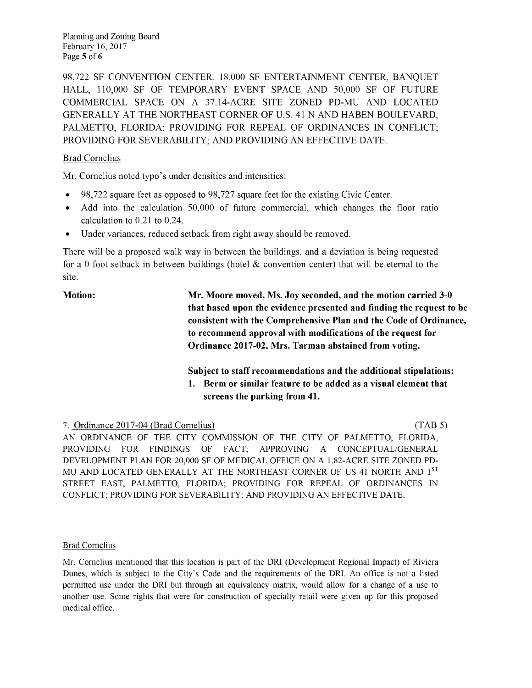Planning and Zoning Board February16, 2017 Page 5 of 6

98,722 SF CONVENTION CENTER, 18,000 SF ENTERTAINMENT CENTER, BANQUET HALL, 110,000 SF OF TEMPORARY EVENT SPACE AND 50,000 SF OF FUTURE COMMERCIAL SPACE ON A 37.14-ACRE SITE ZONED PD-MU AND LOCATED GENERALLY AT THE NORTHEAST CORNER OF U.S. 41 N AND HABEN BOULEVARD, PALMETTO, FLORIDA; PROVIDING FOR REPEAL OF ORDINANCES IN CONFLICT; PROVIDING FOR SEVERABILITY; AND PROVIDING AN EFFECTIVE DATE.

# BradCornelius

Mr. Cornelius noted typo's under densities and intensities:

- 98,722 square feet as opposed to 98,727 square feet for the existing Civic Center.
- $\bullet$  Add into the calculation 50,000 of future commercial, which changes the floor ratio calculation to  $0.21$  to  $0.24$ .
- Under variances, reduced setback from right away should be removed.

There will be a proposed walk way in between the buildings, and a deviation is being requested for a 0 foot setback in between buildings (hotel  $\&$  convention center) that will be eternal to the site.

Motion: Mr. Moore moved, Ms. Joy seconded, and the motion carried 3-0 that based upon the evidence presented and finding the request to be consistent with the Comprehensive Plan and the Code of Ordinance, to recommend approval with modifications of the request for Ordinance 2017-02. Mrs. Tarman abstained from voting.

> Subject to staff recommendations and the additional stipulations: 1. Berm or similar feature to be added as a visual element that screens the parking from 41.

# 7. Ordinance 2017-04 (Brad Cornelius) (TAB 5)

AN ORDINANCE OF THE CITY COMMISSION OF THE CITY OF PALMETTO, FLORIDA, PROVIDING FOR FINDINGS OF FACT; APPROVING A CONCEPTUAL/GENERAL DEVELOPMENT PLAN FOR 20,000 SF OF MEDICAL OFFICE ON A 1.82-ACRE SITE ZONED PD-MU AND LOCATED GENERALLY AT THE NORTHEAST CORNER OF US 41 NORTH AND 1<sup>ST</sup> STREET EAST, PALMETTO, FLORIDA; PROVIDING FOR REPEAL OF ORDINANCES IN CONFLICT; PROVIDING FOR SEVERABILITY; AND PROVIDING AN EFFECTIVE DATE.

# BradCornelius

Mr. Cornelius mentioned that this location is part of the DRI (Development Regional Impact) of Riviera Dunes, which is subject to the City's Code and the requirements of the DRI. An office is not a listed permitted use under the DRI but through an equivalency matrix, would allow for a change of a use to another use. Some rights that were for construction of specialty retail were given up for this proposed medical office.